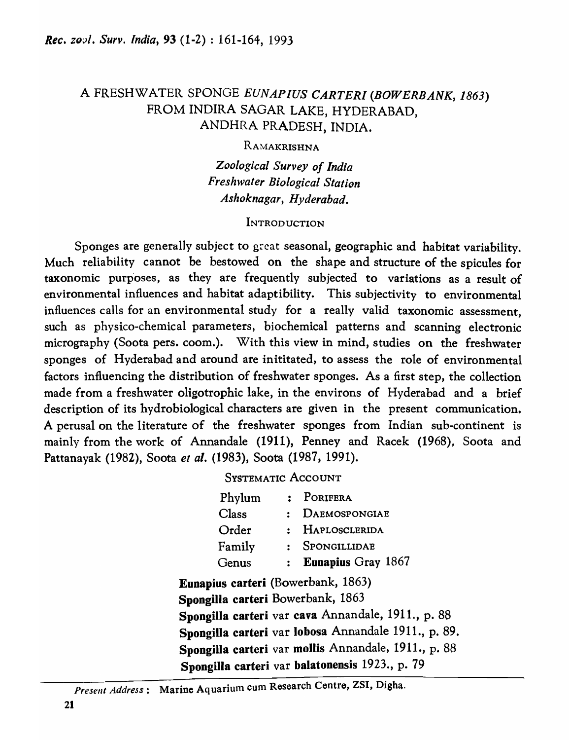# A FRESHWATER SPONGE *EUNAPlUS CARTERl* (BOWERBANK, *1863)*  FROM INDIRA SAGAR LAKE, HYDERABAD, ANDHRA PRADESH, INDIA.

RAMAKRISHNA

*Zoological Survey of India Freshwater Biological Station Ashoknagar, Hyderabad.* 

## INTRODUCTION

Sponges are generally subject to great seasonal, geographic and habitat variability. Much reliability cannot be bestowed on the shape and structure of the spicules for taxonomic purposes, as they are frequently subjected to variations as a result of environmental influences and habitat adaptibility. This subjectivity to environmental influences calls for an environmental study for a really valid taxonomic assessment, such as physico-chemical parameters, biochemical patterns and scanning electronic micrography (Soota pers. coom.). With this view in mind, studies on the freshwater sponges of Hyderabad and around are inititated, to assess the role of environmental factors influencing the distribution of freshwater sponges. As a first step, the collection made from a freshwater oligotrophic lake, in the environs of Hyderabad and a brief description of its hydrobiological characters are given in the present communication. A perusal on the literature of the freshwater sponges from Indian sub-continent is mainly from the work of Annandale (1911), Penney and Racek (1968), Soota and Pattanayak (1982), Soota *et al.* (1983), Soota (1987, 1991).

SYSTEMATIC ACCOUNT

| Phylum                             | : PORIFERA                                           |
|------------------------------------|------------------------------------------------------|
| $\rm Class$                        | : DAEMOSPONGIAE                                      |
| Order                              | : HAPLOSCLERIDA                                      |
| Family                             | : SPONGILLIDAE                                       |
| Genus                              | : Eunapius Gray $1867$                               |
| Eunapius carteri (Bowerbank, 1863) |                                                      |
| Spongilla carteri Bowerbank, 1863  |                                                      |
|                                    | Spongilla carteri var cava Annandale, 1911., p. 88   |
|                                    | Spongilla carteri var lobosa Annandale 1911., p. 89. |
|                                    | Spongilla carteri var mollis Annandale, 1911., p. 88 |
|                                    | Spongilla carteri var balatonensis 1923., p. 79      |

*Present Address:* Marine Aq uarium cum Research Centre, ZSI, Digha.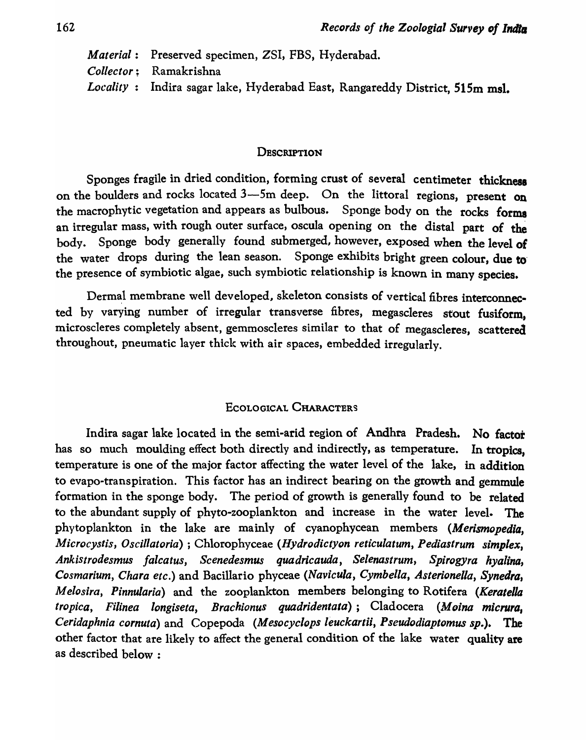*Material:* Preserved specimen, ZSI, FBS, Hyderabad. *Collector;* Ramakrishna *Locality:* Indira sagar lake, Hyderabad East, Rangareddy District, 515m msl.

### **DESCRIPTION**

Sponges fragile in dried condition, forming crust of several centimeter thickness on the boulders and rocks located  $3$ -5m deep. On the littoral regions, present on the macrophytic vegetation and appears as bulbous. Sponge body on the rocks forma an irregular mass, with rough outer surface, oscula opening on the distal part of the body. Sponge body generally found submerged, however, exposed when the level of the water drops during the lean season. Sponge exhibits bright green colour, due to the presence of symbiotic algae, such symbiotic relationship is known in many species.

Dermal membrane well developed, skeleton consists of vertical fibres interconnected by varying number of irregular transverse fibres, megascleres stout fusiform, microscleres completely absent, gemmoscleres similar to that of megascleres, scattered throughout, pneumatic layer thick with air spaces, embedded irregularly.

## ECOLOGICAL CHARACTERS

Indira sagar lake located in the semi-arid region of Andhra Pradesh. No factor has so much moulding effect both directly and indirectly, as temperature. In tropics, temperature is one of the major factor affecting the water level of the lake, in addition to evapo-transpiration. This factor has an indirect bearing on the growth and gemmule formation in the sponge body. The period of growth is generally found to be related to the abundant supply of phyto-zooplankton and increase in the water level. The phytoplankton in the lake are mainly of cyanophycean members *(Merismopedia, Microcystis, OscUlatoria)* ; Chlorophyceae *(Hydrodictyon reticulatum, Pediastrum simplex, Ankislrodesmus falcatus, Scenedesmus quadricauda, Selenastrum, Spirogyra hyalina, Cosmarium, Chara etc.)* and Bacillario phyceae *(Navicula, Cymbella, Asterionella, Synedra, Melosira, Pinnuiaria)* and the zooplankton members belonging to Rotifera *(Keratella tropica, Filinea longiseta, Brachionus quadridentata);* Cladocera *(Moina micrura, Ceridaphnia cornuta)* and Copepoda *(Meso cyclops leuckartii, Pseudodiaptomus sp.).* The other factor that are likely to affect the general condition of the lake water quality are as described below :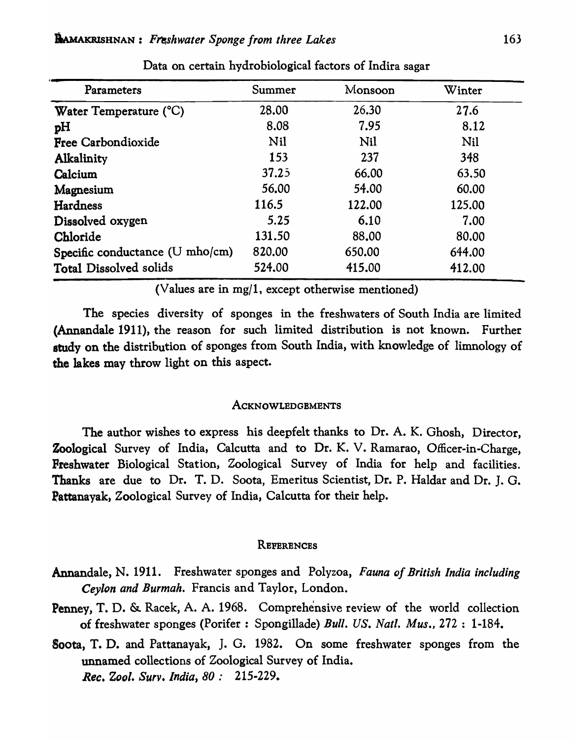| Parameters                                  | Summer | Monsoon | Winter |
|---------------------------------------------|--------|---------|--------|
| Water Temperature (°C)                      | 28.00  | 26.30   | 27.6   |
| pH                                          | 8.08   | 7.95    | 8.12   |
| <b>Free Carbondioxide</b>                   | Nil    | Nil     | Nil    |
| <b>Alkalinity</b>                           | 153    | 237     | 348    |
| Calcium                                     | 37.25  | 66.00   | 63.50  |
| Magnesium                                   | 56.00  | 54.00   | 60.00  |
| Hardness                                    | 116.5  | 122.00  | 125.00 |
| Dissolved oxygen                            | 5.25   | 6.10    | 7.00   |
| Chloride                                    | 131.50 | 88.00   | 80.00  |
| Specific conductance $(U \text{ mh } o/cm)$ | 820.00 | 650.00  | 644.00 |
| <b>Total Dissolved solids</b>               | 524.00 | 415.00  | 412.00 |

Data on certain hydrobiological factors of Indira sagar

(Values are in mg/l, except otherwise mentioned)

The species diversity of sponges in the freshwaters of South India are limited (Annandale 1911), the reason for such limited distribution is not known. Further study on the distribution of sponges from South India, with knowledge of limnology of the lakes may throw light on this aspect.

#### **ACKNOWLEDGEMENTS**

The author wishes to express his deepfelt thanks to Dr. A. K. Ghosh, Director, Zoological Survey of India, Calcutta and to Dr. K. V. Ramarao, Officer-in-Charge, Freshwater Biological Station, Zoological Survey of India for help and facilities. Thanks are due to Dr. T. D. Soota, Emeritus Scientist, Dr. P. Haldar and Dr. J. G. Pattanayak, Zoological Survey of India, Calcutta for their help.

#### **REFERENCES**

- Annandale, N. 1911. Freshwater sponges and Polyzoa, *Fauna of British India including Ceylon and Burmah.* Francis and Taylor, London.
- Penney, T. D. & Racek, A. A. 1968. Comprehensive review of the world collection of freshwater sponges (Porifer : Spongillade) *Bull.* US. *Natl. Mus.,* 272: 1-184.
- Soota, T. D. and Pattanayak, J. G. 1982. On some freshwater sponges from the unnamed collections of Zoological Survey of India. *Rec. Zool. Surv. India, 80: 215-229.*